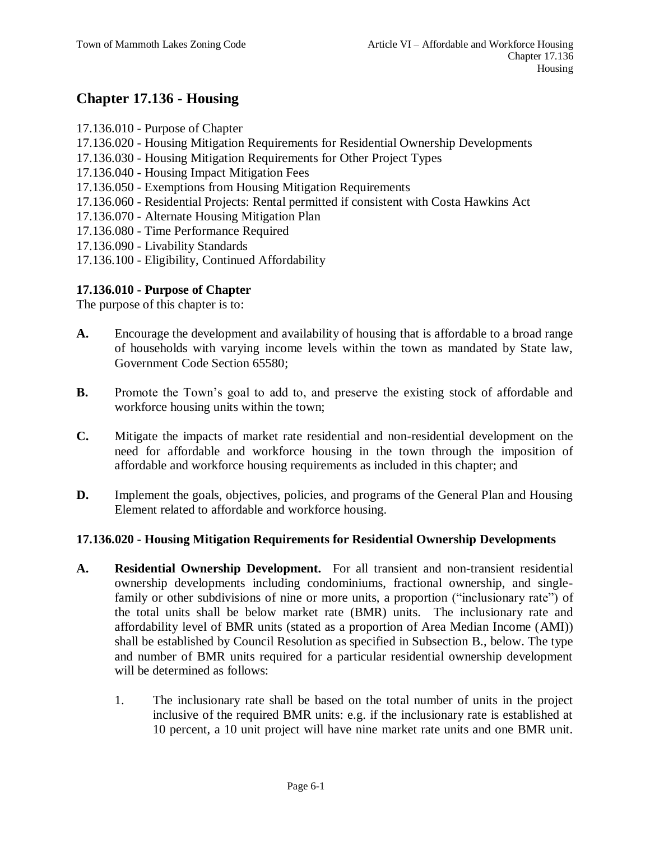# **Chapter 17.136 - Housing**

- 17.136.010 Purpose of Chapter
- 17.136.020 Housing Mitigation Requirements for Residential Ownership Developments
- 17.136.030 Housing Mitigation Requirements for Other Project Types
- 17.136.040 Housing Impact Mitigation Fees
- 17.136.050 Exemptions from Housing Mitigation Requirements
- 17.136.060 Residential Projects: Rental permitted if consistent with Costa Hawkins Act
- 17.136.070 Alternate Housing Mitigation Plan
- 17.136.080 Time Performance Required
- 17.136.090 Livability Standards
- 17.136.100 Eligibility, Continued Affordability

# **17.136.010 - Purpose of Chapter**

The purpose of this chapter is to:

- **A.** Encourage the development and availability of housing that is affordable to a broad range of households with varying income levels within the town as mandated by State law, Government Code Section 65580;
- **B.** Promote the Town's goal to add to, and preserve the existing stock of affordable and workforce housing units within the town;
- **C.** Mitigate the impacts of market rate residential and non-residential development on the need for affordable and workforce housing in the town through the imposition of affordable and workforce housing requirements as included in this chapter; and
- **D.** Implement the goals, objectives, policies, and programs of the General Plan and Housing Element related to affordable and workforce housing.

# **17.136.020 - Housing Mitigation Requirements for Residential Ownership Developments**

- **A. Residential Ownership Development.** For all transient and non-transient residential ownership developments including condominiums, fractional ownership, and singlefamily or other subdivisions of nine or more units, a proportion ("inclusionary rate") of the total units shall be below market rate (BMR) units. The inclusionary rate and affordability level of BMR units (stated as a proportion of Area Median Income (AMI)) shall be established by Council Resolution as specified in Subsection B., below. The type and number of BMR units required for a particular residential ownership development will be determined as follows:
	- 1. The inclusionary rate shall be based on the total number of units in the project inclusive of the required BMR units: e.g. if the inclusionary rate is established at 10 percent, a 10 unit project will have nine market rate units and one BMR unit.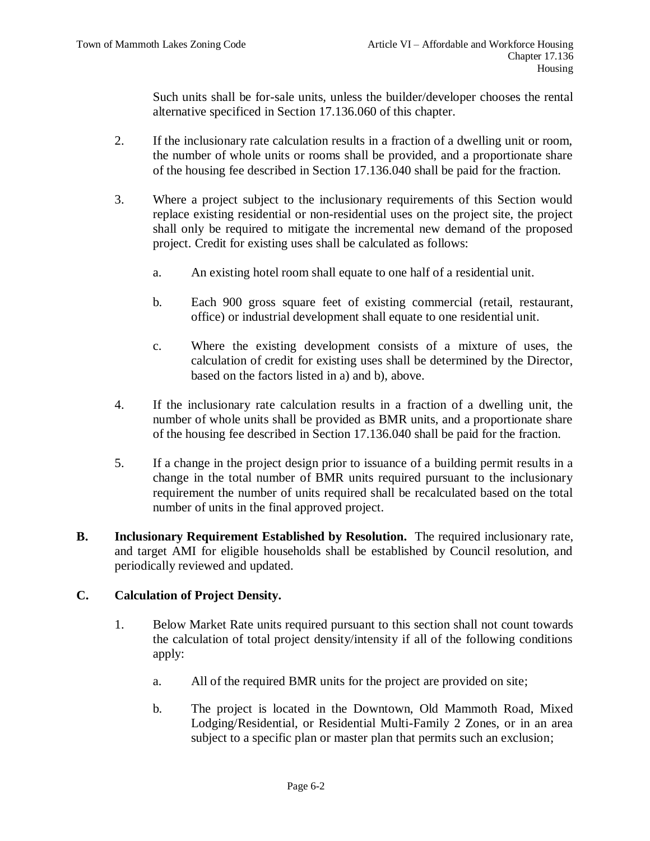Such units shall be for-sale units, unless the builder/developer chooses the rental alternative specificed in Section 17.136.060 of this chapter.

- 2. If the inclusionary rate calculation results in a fraction of a dwelling unit or room, the number of whole units or rooms shall be provided, and a proportionate share of the housing fee described in Section 17.136.040 shall be paid for the fraction.
- 3. Where a project subject to the inclusionary requirements of this Section would replace existing residential or non-residential uses on the project site, the project shall only be required to mitigate the incremental new demand of the proposed project. Credit for existing uses shall be calculated as follows:
	- a. An existing hotel room shall equate to one half of a residential unit.
	- b. Each 900 gross square feet of existing commercial (retail, restaurant, office) or industrial development shall equate to one residential unit.
	- c. Where the existing development consists of a mixture of uses, the calculation of credit for existing uses shall be determined by the Director, based on the factors listed in a) and b), above.
- 4. If the inclusionary rate calculation results in a fraction of a dwelling unit, the number of whole units shall be provided as BMR units, and a proportionate share of the housing fee described in Section 17.136.040 shall be paid for the fraction.
- 5. If a change in the project design prior to issuance of a building permit results in a change in the total number of BMR units required pursuant to the inclusionary requirement the number of units required shall be recalculated based on the total number of units in the final approved project.
- **B. Inclusionary Requirement Established by Resolution.** The required inclusionary rate, and target AMI for eligible households shall be established by Council resolution, and periodically reviewed and updated.

# **C. Calculation of Project Density.**

- 1. Below Market Rate units required pursuant to this section shall not count towards the calculation of total project density/intensity if all of the following conditions apply:
	- a. All of the required BMR units for the project are provided on site;
	- b. The project is located in the Downtown, Old Mammoth Road, Mixed Lodging/Residential, or Residential Multi-Family 2 Zones, or in an area subject to a specific plan or master plan that permits such an exclusion;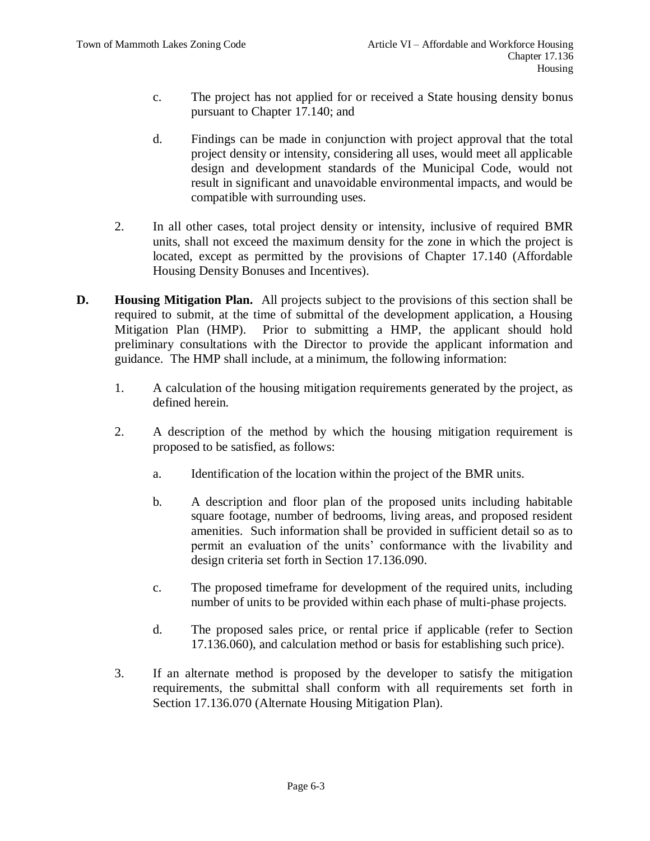- c. The project has not applied for or received a State housing density bonus pursuant to Chapter 17.140; and
- d. Findings can be made in conjunction with project approval that the total project density or intensity, considering all uses, would meet all applicable design and development standards of the Municipal Code, would not result in significant and unavoidable environmental impacts, and would be compatible with surrounding uses.
- 2. In all other cases, total project density or intensity, inclusive of required BMR units, shall not exceed the maximum density for the zone in which the project is located, except as permitted by the provisions of Chapter 17.140 (Affordable Housing Density Bonuses and Incentives).
- **D. Housing Mitigation Plan.** All projects subject to the provisions of this section shall be required to submit, at the time of submittal of the development application, a Housing Mitigation Plan (HMP). Prior to submitting a HMP, the applicant should hold preliminary consultations with the Director to provide the applicant information and guidance. The HMP shall include, at a minimum, the following information:
	- 1. A calculation of the housing mitigation requirements generated by the project, as defined herein.
	- 2. A description of the method by which the housing mitigation requirement is proposed to be satisfied, as follows:
		- a. Identification of the location within the project of the BMR units.
		- b. A description and floor plan of the proposed units including habitable square footage, number of bedrooms, living areas, and proposed resident amenities. Such information shall be provided in sufficient detail so as to permit an evaluation of the units' conformance with the livability and design criteria set forth in Section 17.136.090.
		- c. The proposed timeframe for development of the required units, including number of units to be provided within each phase of multi-phase projects.
		- d. The proposed sales price, or rental price if applicable (refer to Section 17.136.060), and calculation method or basis for establishing such price).
	- 3. If an alternate method is proposed by the developer to satisfy the mitigation requirements, the submittal shall conform with all requirements set forth in Section 17.136.070 (Alternate Housing Mitigation Plan).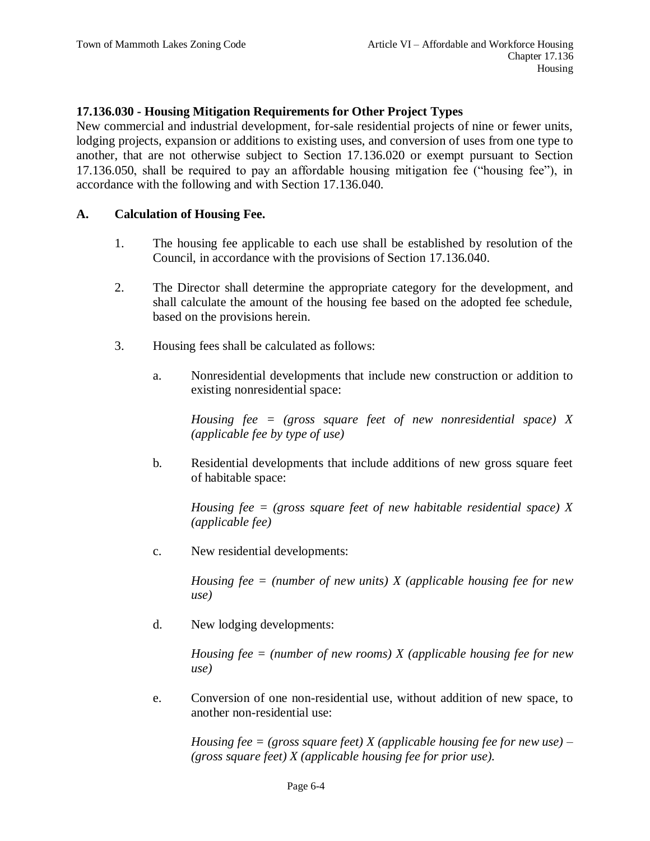# **17.136.030 - Housing Mitigation Requirements for Other Project Types**

New commercial and industrial development, for-sale residential projects of nine or fewer units, lodging projects, expansion or additions to existing uses, and conversion of uses from one type to another, that are not otherwise subject to Section 17.136.020 or exempt pursuant to Section 17.136.050, shall be required to pay an affordable housing mitigation fee ("housing fee"), in accordance with the following and with Section 17.136.040.

### **A. Calculation of Housing Fee.**

- 1. The housing fee applicable to each use shall be established by resolution of the Council, in accordance with the provisions of Section 17.136.040.
- 2. The Director shall determine the appropriate category for the development, and shall calculate the amount of the housing fee based on the adopted fee schedule, based on the provisions herein.
- 3. Housing fees shall be calculated as follows:
	- a. Nonresidential developments that include new construction or addition to existing nonresidential space:

*Housing fee = (gross square feet of new nonresidential space) X (applicable fee by type of use)*

b. Residential developments that include additions of new gross square feet of habitable space:

*Housing fee = (gross square feet of new habitable residential space) X (applicable fee)*

c. New residential developments:

*Housing fee = (number of new units) X (applicable housing fee for new use)*

d. New lodging developments:

*Housing fee = (number of new rooms) X (applicable housing fee for new use)* 

e. Conversion of one non-residential use, without addition of new space, to another non-residential use:

*Housing fee = (gross square feet) X (applicable housing fee for new use) – (gross square feet) X (applicable housing fee for prior use).*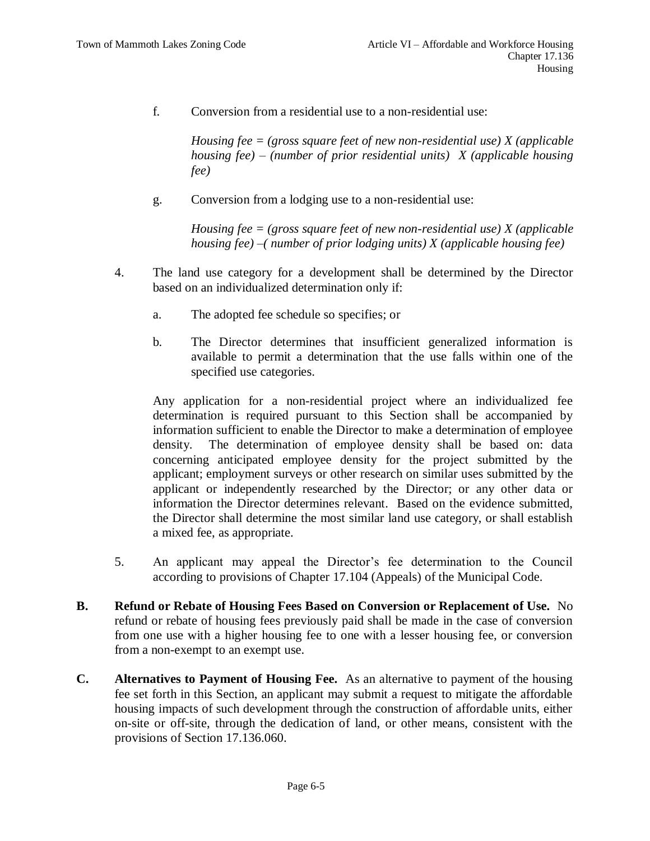f. Conversion from a residential use to a non-residential use:

*Housing fee = (gross square feet of new non-residential use) X (applicable housing fee) – (number of prior residential units) X (applicable housing fee)* 

g. Conversion from a lodging use to a non-residential use:

*Housing fee = (gross square feet of new non-residential use) X (applicable housing fee) –( number of prior lodging units) X (applicable housing fee)* 

- 4. The land use category for a development shall be determined by the Director based on an individualized determination only if:
	- a. The adopted fee schedule so specifies; or
	- b. The Director determines that insufficient generalized information is available to permit a determination that the use falls within one of the specified use categories.

Any application for a non-residential project where an individualized fee determination is required pursuant to this Section shall be accompanied by information sufficient to enable the Director to make a determination of employee density. The determination of employee density shall be based on: data concerning anticipated employee density for the project submitted by the applicant; employment surveys or other research on similar uses submitted by the applicant or independently researched by the Director; or any other data or information the Director determines relevant. Based on the evidence submitted, the Director shall determine the most similar land use category, or shall establish a mixed fee, as appropriate.

- 5. An applicant may appeal the Director's fee determination to the Council according to provisions of Chapter 17.104 (Appeals) of the Municipal Code.
- **B. Refund or Rebate of Housing Fees Based on Conversion or Replacement of Use.** No refund or rebate of housing fees previously paid shall be made in the case of conversion from one use with a higher housing fee to one with a lesser housing fee, or conversion from a non-exempt to an exempt use.
- **C. Alternatives to Payment of Housing Fee.** As an alternative to payment of the housing fee set forth in this Section, an applicant may submit a request to mitigate the affordable housing impacts of such development through the construction of affordable units, either on-site or off-site, through the dedication of land, or other means, consistent with the provisions of Section 17.136.060.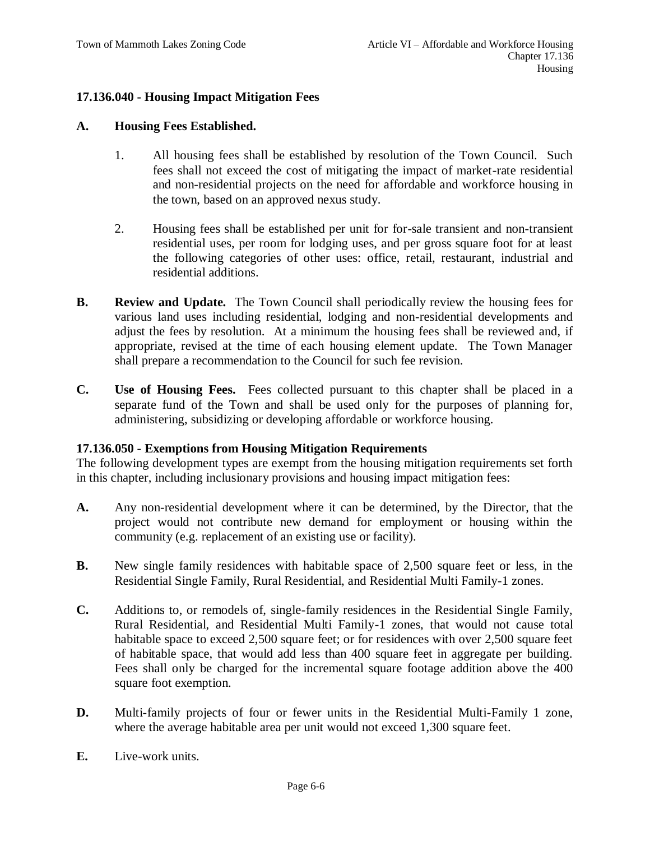## **17.136.040 - Housing Impact Mitigation Fees**

#### **A. Housing Fees Established.**

- 1. All housing fees shall be established by resolution of the Town Council. Such fees shall not exceed the cost of mitigating the impact of market-rate residential and non-residential projects on the need for affordable and workforce housing in the town, based on an approved nexus study.
- 2. Housing fees shall be established per unit for for-sale transient and non-transient residential uses, per room for lodging uses, and per gross square foot for at least the following categories of other uses: office, retail, restaurant, industrial and residential additions.
- **B. Review and Update.** The Town Council shall periodically review the housing fees for various land uses including residential, lodging and non-residential developments and adjust the fees by resolution. At a minimum the housing fees shall be reviewed and, if appropriate, revised at the time of each housing element update. The Town Manager shall prepare a recommendation to the Council for such fee revision.
- **C. Use of Housing Fees.** Fees collected pursuant to this chapter shall be placed in a separate fund of the Town and shall be used only for the purposes of planning for, administering, subsidizing or developing affordable or workforce housing.

### **17.136.050 - Exemptions from Housing Mitigation Requirements**

The following development types are exempt from the housing mitigation requirements set forth in this chapter, including inclusionary provisions and housing impact mitigation fees:

- **A.** Any non-residential development where it can be determined, by the Director, that the project would not contribute new demand for employment or housing within the community (e.g. replacement of an existing use or facility).
- **B.** New single family residences with habitable space of 2,500 square feet or less, in the Residential Single Family, Rural Residential, and Residential Multi Family-1 zones.
- **C.** Additions to, or remodels of, single-family residences in the Residential Single Family, Rural Residential, and Residential Multi Family-1 zones, that would not cause total habitable space to exceed 2,500 square feet; or for residences with over 2,500 square feet of habitable space, that would add less than 400 square feet in aggregate per building. Fees shall only be charged for the incremental square footage addition above the 400 square foot exemption.
- **D.** Multi-family projects of four or fewer units in the Residential Multi-Family 1 zone, where the average habitable area per unit would not exceed 1,300 square feet.
- **E.** Live-work units.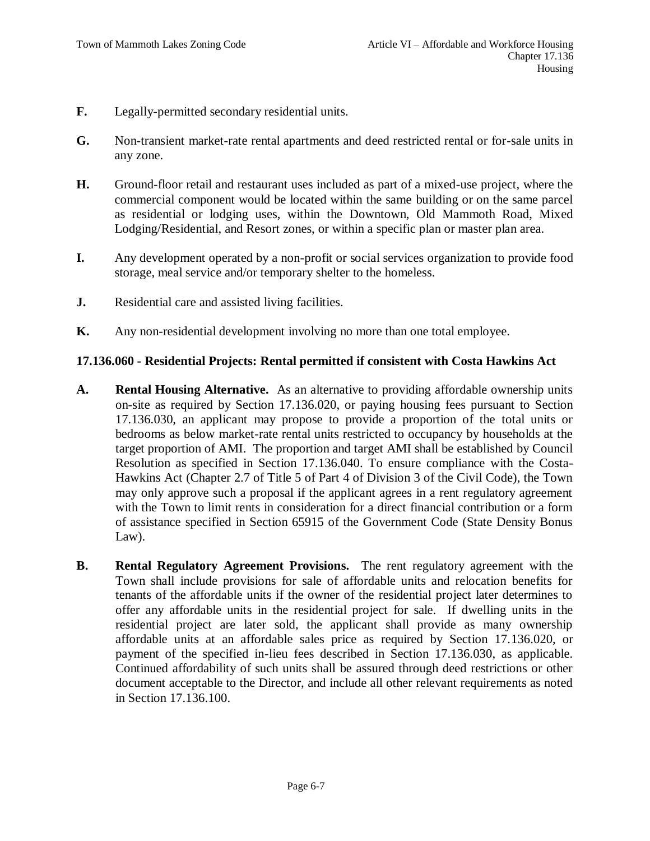- **F.** Legally-permitted secondary residential units.
- **G.** Non-transient market-rate rental apartments and deed restricted rental or for-sale units in any zone.
- **H.** Ground-floor retail and restaurant uses included as part of a mixed-use project, where the commercial component would be located within the same building or on the same parcel as residential or lodging uses, within the Downtown, Old Mammoth Road, Mixed Lodging/Residential, and Resort zones, or within a specific plan or master plan area.
- **I.** Any development operated by a non-profit or social services organization to provide food storage, meal service and/or temporary shelter to the homeless.
- **J.** Residential care and assisted living facilities.
- **K.** Any non-residential development involving no more than one total employee.

## **17.136.060 - Residential Projects: Rental permitted if consistent with Costa Hawkins Act**

- **A. Rental Housing Alternative.** As an alternative to providing affordable ownership units on-site as required by Section 17.136.020, or paying housing fees pursuant to Section 17.136.030, an applicant may propose to provide a proportion of the total units or bedrooms as below market-rate rental units restricted to occupancy by households at the target proportion of AMI. The proportion and target AMI shall be established by Council Resolution as specified in Section 17.136.040. To ensure compliance with the Costa-Hawkins Act (Chapter 2.7 of Title 5 of Part 4 of Division 3 of the Civil Code), the Town may only approve such a proposal if the applicant agrees in a rent regulatory agreement with the Town to limit rents in consideration for a direct financial contribution or a form of assistance specified in Section 65915 of the Government Code (State Density Bonus Law).
- **B. Rental Regulatory Agreement Provisions.** The rent regulatory agreement with the Town shall include provisions for sale of affordable units and relocation benefits for tenants of the affordable units if the owner of the residential project later determines to offer any affordable units in the residential project for sale. If dwelling units in the residential project are later sold, the applicant shall provide as many ownership affordable units at an affordable sales price as required by Section 17.136.020, or payment of the specified in-lieu fees described in Section 17.136.030, as applicable. Continued affordability of such units shall be assured through deed restrictions or other document acceptable to the Director, and include all other relevant requirements as noted in Section 17.136.100.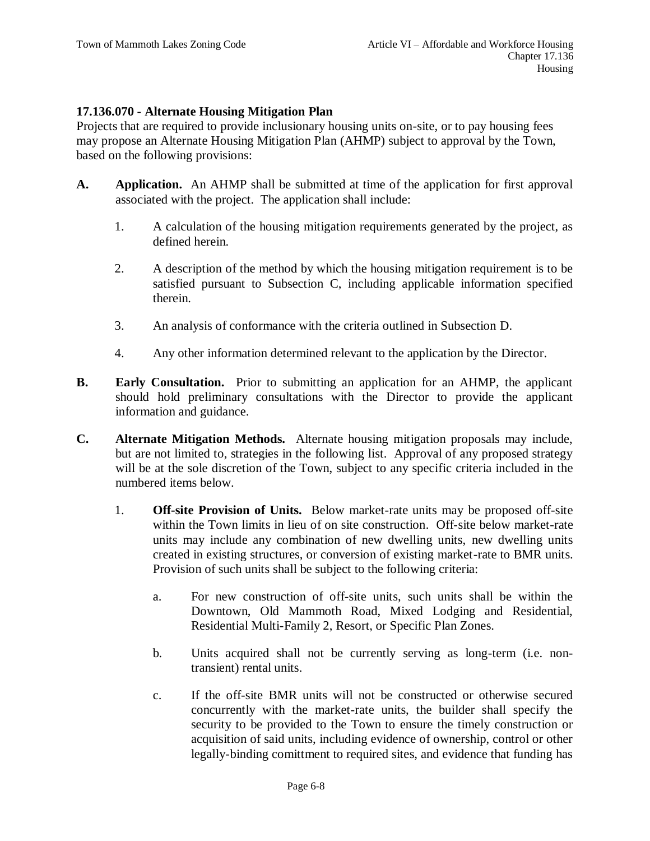# **17.136.070 - Alternate Housing Mitigation Plan**

Projects that are required to provide inclusionary housing units on-site, or to pay housing fees may propose an Alternate Housing Mitigation Plan (AHMP) subject to approval by the Town, based on the following provisions:

- **A. Application.** An AHMP shall be submitted at time of the application for first approval associated with the project. The application shall include:
	- 1. A calculation of the housing mitigation requirements generated by the project, as defined herein.
	- 2. A description of the method by which the housing mitigation requirement is to be satisfied pursuant to Subsection C, including applicable information specified therein.
	- 3. An analysis of conformance with the criteria outlined in Subsection D.
	- 4. Any other information determined relevant to the application by the Director.
- **B. Early Consultation.** Prior to submitting an application for an AHMP, the applicant should hold preliminary consultations with the Director to provide the applicant information and guidance.
- **C. Alternate Mitigation Methods.** Alternate housing mitigation proposals may include, but are not limited to, strategies in the following list. Approval of any proposed strategy will be at the sole discretion of the Town, subject to any specific criteria included in the numbered items below.
	- 1. **Off-site Provision of Units.** Below market-rate units may be proposed off-site within the Town limits in lieu of on site construction. Off-site below market-rate units may include any combination of new dwelling units, new dwelling units created in existing structures, or conversion of existing market-rate to BMR units. Provision of such units shall be subject to the following criteria:
		- a. For new construction of off-site units, such units shall be within the Downtown, Old Mammoth Road, Mixed Lodging and Residential, Residential Multi-Family 2, Resort, or Specific Plan Zones.
		- b. Units acquired shall not be currently serving as long-term (i.e. nontransient) rental units.
		- c. If the off-site BMR units will not be constructed or otherwise secured concurrently with the market-rate units, the builder shall specify the security to be provided to the Town to ensure the timely construction or acquisition of said units, including evidence of ownership, control or other legally-binding comittment to required sites, and evidence that funding has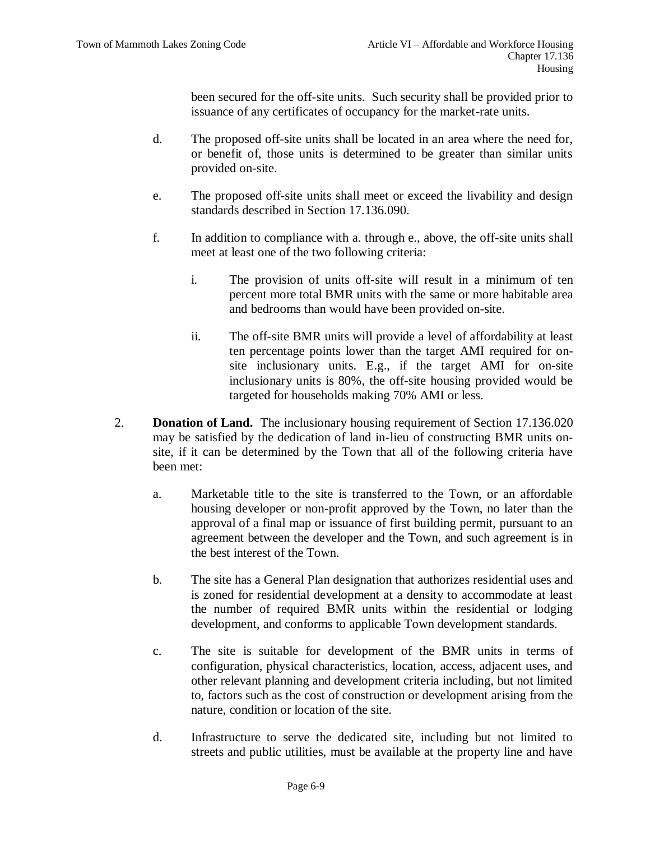been secured for the off-site units. Such security shall be provided prior to issuance of any certificates of occupancy for the market-rate units.

- d. The proposed off-site units shall be located in an area where the need for, or benefit of, those units is determined to be greater than similar units provided on-site.
- e. The proposed off-site units shall meet or exceed the livability and design standards described in Section 17.136.090.
- f. In addition to compliance with a. through e., above, the off-site units shall meet at least one of the two following criteria:
	- i. The provision of units off-site will result in a minimum of ten percent more total BMR units with the same or more habitable area and bedrooms than would have been provided on-site.
	- ii. The off-site BMR units will provide a level of affordability at least ten percentage points lower than the target AMI required for onsite inclusionary units. E.g., if the target AMI for on-site inclusionary units is 80%, the off-site housing provided would be targeted for households making 70% AMI or less.
- 2. **Donation of Land.** The inclusionary housing requirement of Section 17.136.020 may be satisfied by the dedication of land in-lieu of constructing BMR units onsite, if it can be determined by the Town that all of the following criteria have been met:
	- a. Marketable title to the site is transferred to the Town, or an affordable housing developer or non-profit approved by the Town, no later than the approval of a final map or issuance of first building permit, pursuant to an agreement between the developer and the Town, and such agreement is in the best interest of the Town.
	- b. The site has a General Plan designation that authorizes residential uses and is zoned for residential development at a density to accommodate at least the number of required BMR units within the residential or lodging development, and conforms to applicable Town development standards.
	- c. The site is suitable for development of the BMR units in terms of configuration, physical characteristics, location, access, adjacent uses, and other relevant planning and development criteria including, but not limited to, factors such as the cost of construction or development arising from the nature, condition or location of the site.
	- d. Infrastructure to serve the dedicated site, including but not limited to streets and public utilities, must be available at the property line and have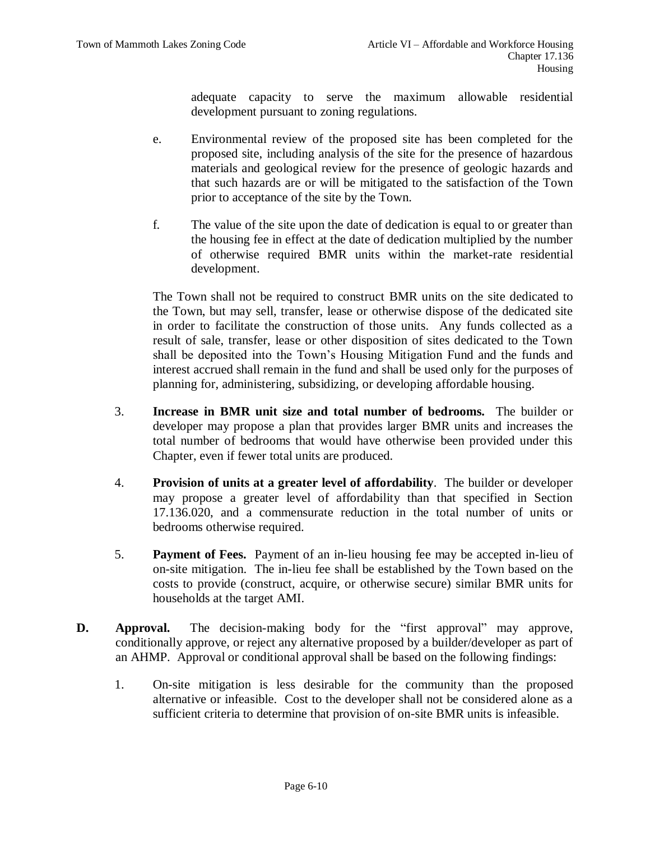adequate capacity to serve the maximum allowable residential development pursuant to zoning regulations.

- e. Environmental review of the proposed site has been completed for the proposed site, including analysis of the site for the presence of hazardous materials and geological review for the presence of geologic hazards and that such hazards are or will be mitigated to the satisfaction of the Town prior to acceptance of the site by the Town.
- f. The value of the site upon the date of dedication is equal to or greater than the housing fee in effect at the date of dedication multiplied by the number of otherwise required BMR units within the market-rate residential development.

The Town shall not be required to construct BMR units on the site dedicated to the Town, but may sell, transfer, lease or otherwise dispose of the dedicated site in order to facilitate the construction of those units. Any funds collected as a result of sale, transfer, lease or other disposition of sites dedicated to the Town shall be deposited into the Town's Housing Mitigation Fund and the funds and interest accrued shall remain in the fund and shall be used only for the purposes of planning for, administering, subsidizing, or developing affordable housing.

- 3. **Increase in BMR unit size and total number of bedrooms.** The builder or developer may propose a plan that provides larger BMR units and increases the total number of bedrooms that would have otherwise been provided under this Chapter, even if fewer total units are produced.
- 4. **Provision of units at a greater level of affordability**. The builder or developer may propose a greater level of affordability than that specified in Section 17.136.020, and a commensurate reduction in the total number of units or bedrooms otherwise required.
- 5. **Payment of Fees.** Payment of an in-lieu housing fee may be accepted in-lieu of on-site mitigation. The in-lieu fee shall be established by the Town based on the costs to provide (construct, acquire, or otherwise secure) similar BMR units for households at the target AMI.
- **D. Approval.** The decision-making body for the "first approval" may approve, conditionally approve, or reject any alternative proposed by a builder/developer as part of an AHMP. Approval or conditional approval shall be based on the following findings:
	- 1. On-site mitigation is less desirable for the community than the proposed alternative or infeasible. Cost to the developer shall not be considered alone as a sufficient criteria to determine that provision of on-site BMR units is infeasible.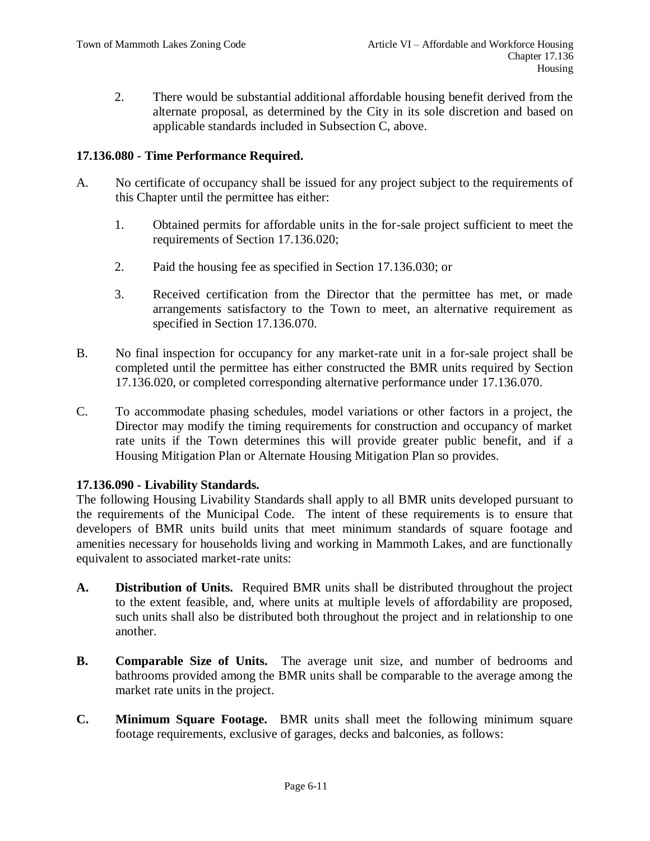2. There would be substantial additional affordable housing benefit derived from the alternate proposal, as determined by the City in its sole discretion and based on applicable standards included in Subsection C, above.

## **17.136.080 - Time Performance Required.**

- A. No certificate of occupancy shall be issued for any project subject to the requirements of this Chapter until the permittee has either:
	- 1. Obtained permits for affordable units in the for-sale project sufficient to meet the requirements of Section 17.136.020;
	- 2. Paid the housing fee as specified in Section 17.136.030; or
	- 3. Received certification from the Director that the permittee has met, or made arrangements satisfactory to the Town to meet, an alternative requirement as specified in Section 17.136.070.
- B. No final inspection for occupancy for any market-rate unit in a for-sale project shall be completed until the permittee has either constructed the BMR units required by Section 17.136.020, or completed corresponding alternative performance under 17.136.070.
- C. To accommodate phasing schedules, model variations or other factors in a project, the Director may modify the timing requirements for construction and occupancy of market rate units if the Town determines this will provide greater public benefit, and if a Housing Mitigation Plan or Alternate Housing Mitigation Plan so provides.

### **17.136.090 - Livability Standards.**

The following Housing Livability Standards shall apply to all BMR units developed pursuant to the requirements of the Municipal Code. The intent of these requirements is to ensure that developers of BMR units build units that meet minimum standards of square footage and amenities necessary for households living and working in Mammoth Lakes, and are functionally equivalent to associated market-rate units:

- **A. Distribution of Units.** Required BMR units shall be distributed throughout the project to the extent feasible, and, where units at multiple levels of affordability are proposed, such units shall also be distributed both throughout the project and in relationship to one another.
- **B. Comparable Size of Units.** The average unit size, and number of bedrooms and bathrooms provided among the BMR units shall be comparable to the average among the market rate units in the project.
- **C. Minimum Square Footage.** BMR units shall meet the following minimum square footage requirements, exclusive of garages, decks and balconies, as follows: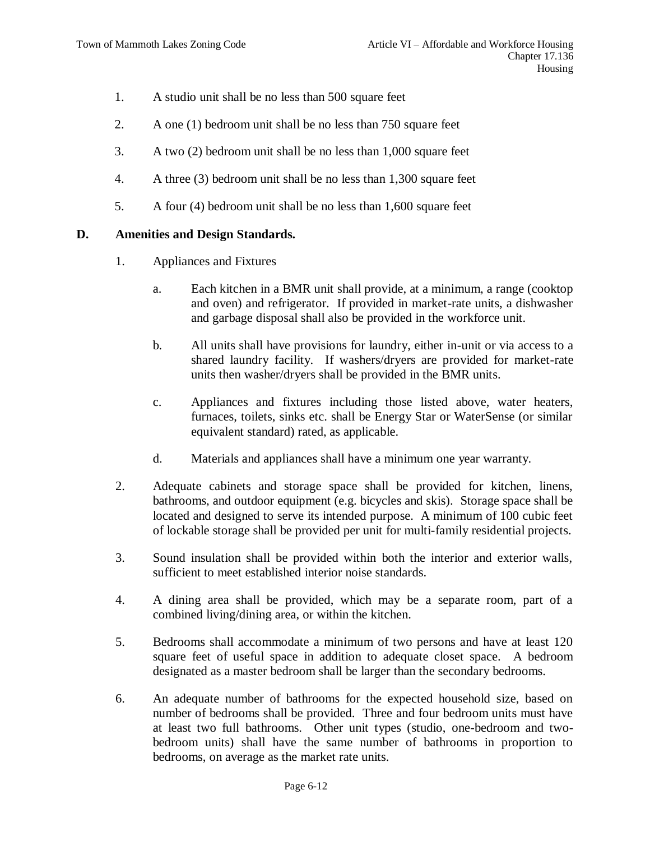- 1. A studio unit shall be no less than 500 square feet
- 2. A one (1) bedroom unit shall be no less than 750 square feet
- 3. A two (2) bedroom unit shall be no less than 1,000 square feet
- 4. A three (3) bedroom unit shall be no less than 1,300 square feet
- 5. A four (4) bedroom unit shall be no less than 1,600 square feet

# **D. Amenities and Design Standards.**

- 1. Appliances and Fixtures
	- a. Each kitchen in a BMR unit shall provide, at a minimum, a range (cooktop and oven) and refrigerator. If provided in market-rate units, a dishwasher and garbage disposal shall also be provided in the workforce unit.
	- b. All units shall have provisions for laundry, either in-unit or via access to a shared laundry facility. If washers/dryers are provided for market-rate units then washer/dryers shall be provided in the BMR units.
	- c. Appliances and fixtures including those listed above, water heaters, furnaces, toilets, sinks etc. shall be Energy Star or WaterSense (or similar equivalent standard) rated, as applicable.
	- d. Materials and appliances shall have a minimum one year warranty.
- 2. Adequate cabinets and storage space shall be provided for kitchen, linens, bathrooms, and outdoor equipment (e.g. bicycles and skis). Storage space shall be located and designed to serve its intended purpose. A minimum of 100 cubic feet of lockable storage shall be provided per unit for multi-family residential projects.
- 3. Sound insulation shall be provided within both the interior and exterior walls, sufficient to meet established interior noise standards.
- 4. A dining area shall be provided, which may be a separate room, part of a combined living/dining area, or within the kitchen.
- 5. Bedrooms shall accommodate a minimum of two persons and have at least 120 square feet of useful space in addition to adequate closet space. A bedroom designated as a master bedroom shall be larger than the secondary bedrooms.
- 6. An adequate number of bathrooms for the expected household size, based on number of bedrooms shall be provided. Three and four bedroom units must have at least two full bathrooms. Other unit types (studio, one-bedroom and twobedroom units) shall have the same number of bathrooms in proportion to bedrooms, on average as the market rate units.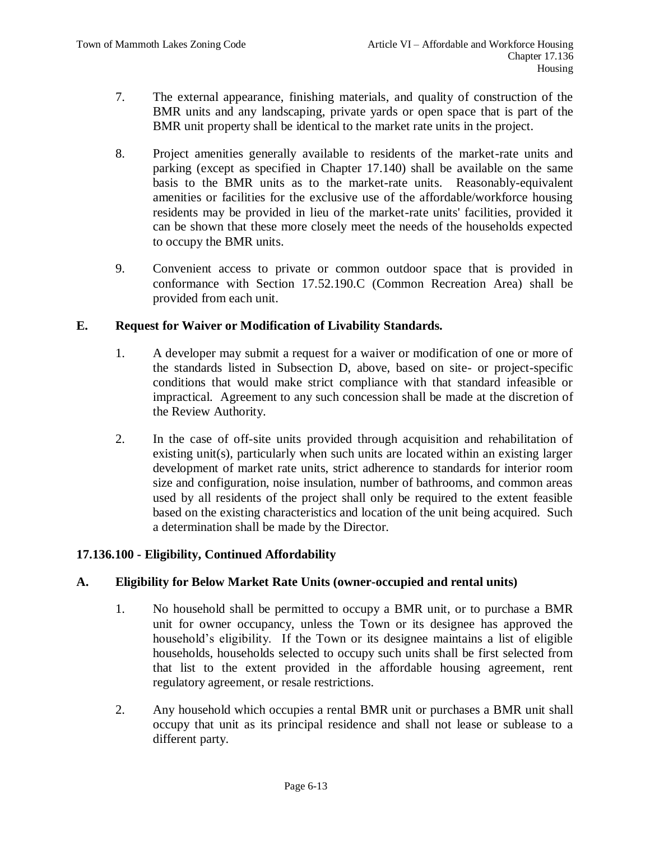- 7. The external appearance, finishing materials, and quality of construction of the BMR units and any landscaping, private yards or open space that is part of the BMR unit property shall be identical to the market rate units in the project.
- 8. Project amenities generally available to residents of the market-rate units and parking (except as specified in Chapter 17.140) shall be available on the same basis to the BMR units as to the market-rate units. Reasonably-equivalent amenities or facilities for the exclusive use of the affordable/workforce housing residents may be provided in lieu of the market-rate units' facilities, provided it can be shown that these more closely meet the needs of the households expected to occupy the BMR units.
- 9. Convenient access to private or common outdoor space that is provided in conformance with Section 17.52.190.C (Common Recreation Area) shall be provided from each unit.

# **E. Request for Waiver or Modification of Livability Standards.**

- 1. A developer may submit a request for a waiver or modification of one or more of the standards listed in Subsection D, above, based on site- or project-specific conditions that would make strict compliance with that standard infeasible or impractical. Agreement to any such concession shall be made at the discretion of the Review Authority.
- 2. In the case of off-site units provided through acquisition and rehabilitation of existing unit(s), particularly when such units are located within an existing larger development of market rate units, strict adherence to standards for interior room size and configuration, noise insulation, number of bathrooms, and common areas used by all residents of the project shall only be required to the extent feasible based on the existing characteristics and location of the unit being acquired. Such a determination shall be made by the Director.

# **17.136.100 - Eligibility, Continued Affordability**

# **A. Eligibility for Below Market Rate Units (owner-occupied and rental units)**

- 1. No household shall be permitted to occupy a BMR unit, or to purchase a BMR unit for owner occupancy, unless the Town or its designee has approved the household's eligibility. If the Town or its designee maintains a list of eligible households, households selected to occupy such units shall be first selected from that list to the extent provided in the affordable housing agreement, rent regulatory agreement, or resale restrictions.
- 2. Any household which occupies a rental BMR unit or purchases a BMR unit shall occupy that unit as its principal residence and shall not lease or sublease to a different party.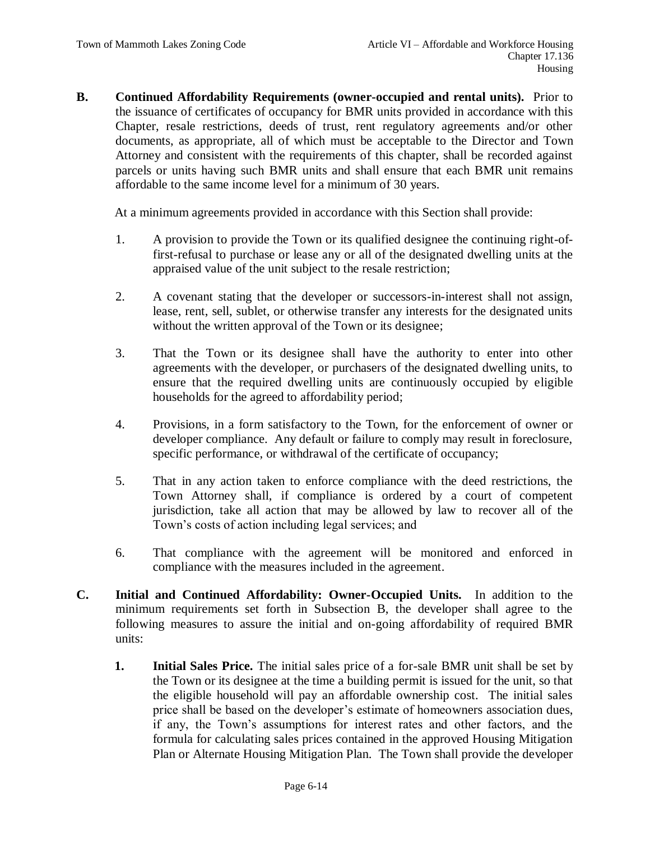**B. Continued Affordability Requirements (owner-occupied and rental units).** Prior to the issuance of certificates of occupancy for BMR units provided in accordance with this Chapter, resale restrictions, deeds of trust, rent regulatory agreements and/or other documents, as appropriate, all of which must be acceptable to the Director and Town Attorney and consistent with the requirements of this chapter, shall be recorded against parcels or units having such BMR units and shall ensure that each BMR unit remains affordable to the same income level for a minimum of 30 years.

At a minimum agreements provided in accordance with this Section shall provide:

- 1. A provision to provide the Town or its qualified designee the continuing right-offirst-refusal to purchase or lease any or all of the designated dwelling units at the appraised value of the unit subject to the resale restriction;
- 2. A covenant stating that the developer or successors-in-interest shall not assign, lease, rent, sell, sublet, or otherwise transfer any interests for the designated units without the written approval of the Town or its designee;
- 3. That the Town or its designee shall have the authority to enter into other agreements with the developer, or purchasers of the designated dwelling units, to ensure that the required dwelling units are continuously occupied by eligible households for the agreed to affordability period;
- 4. Provisions, in a form satisfactory to the Town, for the enforcement of owner or developer compliance. Any default or failure to comply may result in foreclosure, specific performance, or withdrawal of the certificate of occupancy;
- 5. That in any action taken to enforce compliance with the deed restrictions, the Town Attorney shall, if compliance is ordered by a court of competent jurisdiction, take all action that may be allowed by law to recover all of the Town's costs of action including legal services; and
- 6. That compliance with the agreement will be monitored and enforced in compliance with the measures included in the agreement.
- **C. Initial and Continued Affordability: Owner-Occupied Units.** In addition to the minimum requirements set forth in Subsection B, the developer shall agree to the following measures to assure the initial and on-going affordability of required BMR units:
	- **1. Initial Sales Price.** The initial sales price of a for-sale BMR unit shall be set by the Town or its designee at the time a building permit is issued for the unit, so that the eligible household will pay an affordable ownership cost. The initial sales price shall be based on the developer's estimate of homeowners association dues, if any, the Town's assumptions for interest rates and other factors, and the formula for calculating sales prices contained in the approved Housing Mitigation Plan or Alternate Housing Mitigation Plan. The Town shall provide the developer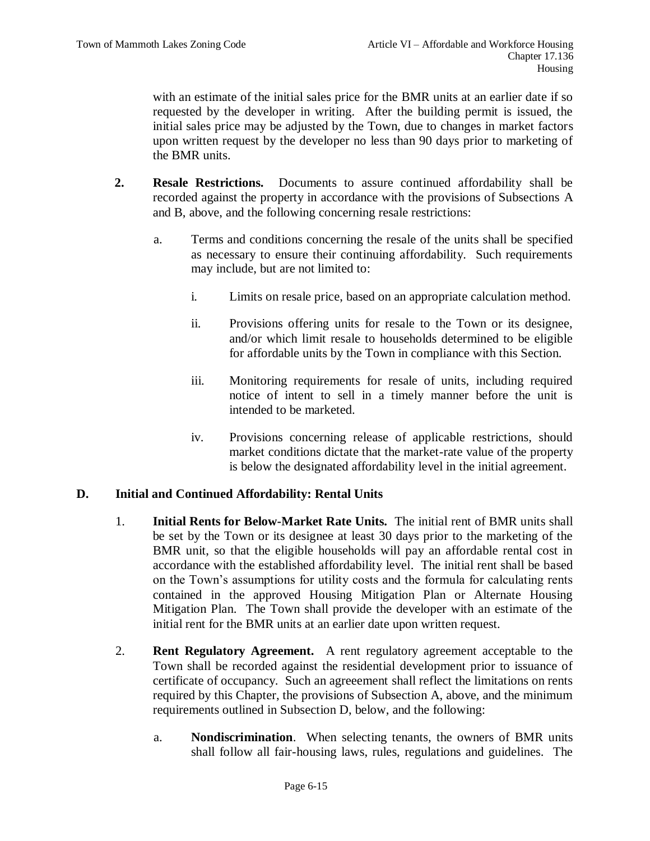with an estimate of the initial sales price for the BMR units at an earlier date if so requested by the developer in writing. After the building permit is issued, the initial sales price may be adjusted by the Town, due to changes in market factors upon written request by the developer no less than 90 days prior to marketing of the BMR units.

- **2. Resale Restrictions.** Documents to assure continued affordability shall be recorded against the property in accordance with the provisions of Subsections A and B, above, and the following concerning resale restrictions:
	- a. Terms and conditions concerning the resale of the units shall be specified as necessary to ensure their continuing affordability. Such requirements may include, but are not limited to:
		- i. Limits on resale price, based on an appropriate calculation method.
		- ii. Provisions offering units for resale to the Town or its designee, and/or which limit resale to households determined to be eligible for affordable units by the Town in compliance with this Section.
		- iii. Monitoring requirements for resale of units, including required notice of intent to sell in a timely manner before the unit is intended to be marketed.
		- iv. Provisions concerning release of applicable restrictions, should market conditions dictate that the market-rate value of the property is below the designated affordability level in the initial agreement.

# **D. Initial and Continued Affordability: Rental Units**

- 1. **Initial Rents for Below-Market Rate Units.** The initial rent of BMR units shall be set by the Town or its designee at least 30 days prior to the marketing of the BMR unit, so that the eligible households will pay an affordable rental cost in accordance with the established affordability level. The initial rent shall be based on the Town's assumptions for utility costs and the formula for calculating rents contained in the approved Housing Mitigation Plan or Alternate Housing Mitigation Plan. The Town shall provide the developer with an estimate of the initial rent for the BMR units at an earlier date upon written request.
- 2. **Rent Regulatory Agreement.** A rent regulatory agreement acceptable to the Town shall be recorded against the residential development prior to issuance of certificate of occupancy. Such an agreeement shall reflect the limitations on rents required by this Chapter, the provisions of Subsection A, above, and the minimum requirements outlined in Subsection D, below, and the following:
	- a. **Nondiscrimination**. When selecting tenants, the owners of BMR units shall follow all fair-housing laws, rules, regulations and guidelines. The